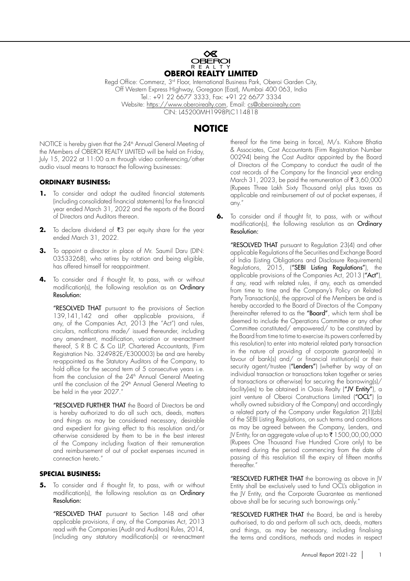

Regd Office: Commerz, 3<sup>rd</sup> Floor, International Business Park, Oberoi Garden City, Off Western Express Highway, Goregaon (East), Mumbai 400 063, India Tel.: +91 22 6677 3333, Fax: +91 22 6677 3334 Website: <u><https://www.oberoirealty.com></u>, Email: <u>cs@oberoirealty.com</u> CIN: L45200MH1998PLC114818

# **NOTICE**

NOTICE is hereby given that the 24<sup>th</sup> Annual General Meeting of the Members of OBEROI REALTY LIMITED will be held on Friday, July 15, 2022 at 11:00 a.m through video conferencing/other audio visual means to transact the following businesses:

## **ORDINARY BUSINESS:**

- **1.** To consider and adopt the audited financial statements (including consolidated financial statements) for the financial year ended March 31, 2022 and the reports of the Board of Directors and Auditors thereon.
- **2.** To declare dividend of ₹3 per equity share for the year ended March 31, 2022.
- **3.** To appoint a director in place of Mr. Saumil Daru (DIN: 03533268), who retires by rotation and being eligible, has offered himself for reappointment.
- **4.** To consider and if thought fit, to pass, with or without modification(s), the following resolution as an Ordinary Resolution:

"RESOLVED THAT pursuant to the provisions of Section 139,141,142 and other applicable provisions, if any, of the Companies Act, 2013 (the "Act") and rules, circulars, notifications made/ issued thereunder, including any amendment, modification, variation or re-enactment thereof, S R B C & Co LLP, Chartered Accountants, (Firm Registration No. 324982E/E300003) be and are hereby re-appointed as the Statutory Auditors of the Company, to hold office for the second term of 5 consecutive years i.e. from the conclusion of the 24<sup>th</sup> Annual General Meeting until the conclusion of the 29<sup>th</sup> Annual General Meeting to be held in the year 2027."

"RESOLVED FURTHER THAT the Board of Directors be and is hereby authorized to do all such acts, deeds, matters and things as may be considered necessary, desirable and expedient for giving effect to this resolution and/or otherwise considered by them to be in the best interest of the Company including fixation of their remuneration and reimbursement of out of pocket expenses incurred in connection hereto."

# **SPECIAL BUSINESS:**

**5.** To consider and if thought fit, to pass, with or without modification(s), the following resolution as an Ordinary Resolution:

"RESOLVED THAT pursuant to Section 148 and other applicable provisions, if any, of the Companies Act, 2013 read with the Companies (Audit and Auditors) Rules, 2014, (including any statutory modification(s) or re-enactment thereof for the time being in force), M/s. Kishore Bhatia & Associates, Cost Accountants (Firm Registration Number 00294) being the Cost Auditor appointed by the Board of Directors of the Company to conduct the audit of the cost records of the Company for the financial year ending March 31, 2023, be paid the remuneration of  $\bar{\tau}$  3,60,000 (Rupees Three Lakh Sixty Thousand only) plus taxes as applicable and reimbursement of out of pocket expenses, if any."

**6.** To consider and if thought fit, to pass, with or without modification(s), the following resolution as an Ordinary Resolution:

"RESOLVED THAT pursuant to Regulation 23(4) and other applicable Regulations of the Securities and Exchange Board of India (Listing Obligations and Disclosure Requirements) Regulations, 2015, ("SEBI Listing Regulations"), the applicable provisions of the Companies Act, 2013 ("Act"), if any, read with related rules, if any, each as amended from time to time and the Company's Policy on Related Party Transaction(s), the approval of the Members be and is hereby accorded to the Board of Directors of the Company (hereinafter referred to as the "Board", which term shall be deemed to include the Operations Committee or any other Committee constituted/ empowered/ to be constituted by the Board from time to time to exercise its powers conferred by this resolution) to enter into material related party transaction in the nature of providing of corporate guarantee(s) in favour of bank(s) and/ or financial institution(s) or their security agent/trustee ("Lenders") (whether by way of an individual transaction or transactions taken together or series of transactions or otherwise) for securing the borrowing(s)/ facility(ies) to be obtained in Oasis Realty ("JV Entity"), a joint venture of Oberoi Constructions Limited ("OCL") (a wholly owned subsidiary of the Company) and accordingly a related party of the Company under Regulation 2(1)(zb) of the SEBI Listing Regulations, on such terms and conditions as may be agreed between the Company, Lenders, and JV Entity, for an aggregate value of up to  $\bar{\tau}$  1500,00,00,000 (Rupees One Thousand Five Hundred Crore only) to be entered during the period commencing from the date of passing of this resolution till the expiry of fifteen months thereafter."

"RESOLVED FURTHER THAT the borrowing as above in JV Entity shall be exclusively used to fund OCL's obligation in the JV Entity, and the Corporate Guarantee as mentioned above shall be for securing such borrowings only."

"RESOLVED FURTHER THAT the Board, be and is hereby authorised, to do and perform all such acts, deeds, matters and things, as may be necessary, including finalising the terms and conditions, methods and modes in respect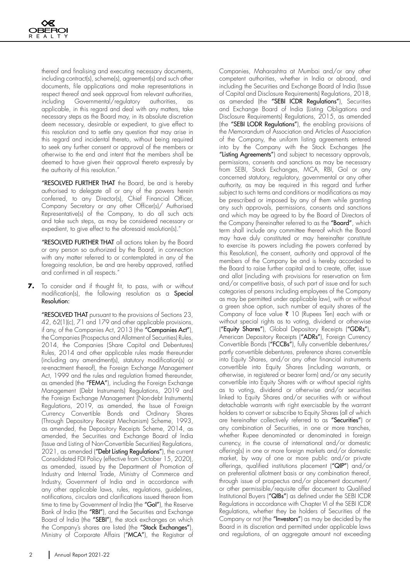thereof and finalising and executing necessary documents, including contract(s), scheme(s), agreement(s) and such other documents, file applications and make representations in respect thereof and seek approval from relevant authorities, including Governmental/regulatory authorities, as applicable, in this regard and deal with any matters, take necessary steps as the Board may, in its absolute discretion deem necessary, desirable or expedient, to give effect to this resolution and to settle any question that may arise in this regard and incidental thereto, without being required to seek any further consent or approval of the members or otherwise to the end and intent that the members shall be deemed to have given their approval thereto expressly by the authority of this resolution."

"RESOLVED FURTHER THAT the Board, be and is hereby authorised to delegate all or any of the powers herein conferred, to any Director(s), Chief Financial Officer, Company Secretary or any other Officer(s)/ Authorised Representative(s) of the Company, to do all such acts and take such steps, as may be considered necessary or expedient, to give effect to the aforesaid resolution(s)."

"RESOLVED FURTHER THAT all actions taken by the Board or any person so authorized by the Board, in connection with any matter referred to or contemplated in any of the foregoing resolution, be and are hereby approved, ratified and confirmed in all respects."

**7.** To consider and if thought fit, to pass, with or without modification(s), the following resolution as a Special Resolution:

"RESOLVED THAT pursuant to the provisions of Sections 23, 42, 62(1)(c), 71 and 179 and other applicable provisions, if any, of the Companies Act, 2013 (the "Companies Act"), the Companies (Prospectus and Allotment of Securities) Rules, 2014, the Companies (Share Capital and Debentures) Rules, 2014 and other applicable rules made thereunder (including any amendment(s), statutory modification(s) or re-enactment thereof), the Foreign Exchange Management Act, 1999 and the rules and regulation framed thereunder, as amended (the "FEMA"), including the Foreign Exchange Management (Debt Instruments) Regulations, 2019 and the Foreign Exchange Management (Non-debt Instruments) Regulations, 2019, as amended, the Issue of Foreign Currency Convertible Bonds and Ordinary Shares (Through Depository Receipt Mechanism) Scheme, 1993, as amended, the Depository Receipts Scheme, 2014, as amended, the Securities and Exchange Board of India (Issue and Listing of Non-Convertible Securities) Regulations, 2021, as amended ("Debt Listing Regulations"), the current Consolidated FDI Policy (effective from October 15, 2020), as amended, issued by the Department of Promotion of Industry and Internal Trade, Ministry of Commerce and Industry, Government of India and in accordance with any other applicable laws, rules, regulations, guidelines, notifications, circulars and clarifications issued thereon from time to time by Government of India (the "Gol"), the Reserve Bank of India (the "RBI"), and the Securities and Exchange Board of India (the "SEBI"), the stock exchanges on which the Company's shares are listed (the "Stock Exchanges"), Ministry of Corporate Affairs ("MCA"), the Registrar of

Companies, Maharashtra at Mumbai and/or any other competent authorities, whether in India or abroad, and including the Securities and Exchange Board of India (Issue of Capital and Disclosure Requirements) Regulations, 2018, as amended (the "SEBI ICDR Regulations"), Securities and Exchange Board of India (Listing Obligations and Disclosure Requirements) Regulations, 2015, as amended (the "SEBI LODR Regulations"), the enabling provisions of the Memorandum of Association and Articles of Association of the Company, the uniform listing agreements entered into by the Company with the Stock Exchanges (the "Listing Agreements") and subject to necessary approvals, permissions, consents and sanctions as may be necessary from SEBI, Stock Exchanges, MCA, RBI, GoI or any concerned statutory, regulatory, governmental or any other authority, as may be required in this regard and further subject to such terms and conditions or modifications as may be prescribed or imposed by any of them while granting any such approvals, permissions, consents and sanctions and which may be agreed to by the Board of Directors of the Company (hereinafter referred to as the "Board", which term shall include any committee thereof which the Board may have duly constituted or may hereinafter constitute to exercise its powers including the powers conferred by this Resolution), the consent, authority and approval of the members of the Company be and is hereby accorded to the Board to raise further capital and to create, offer, issue and allot (including with provisions for reservation on firm and/or competitive basis, of such part of issue and for such categories of persons including employees of the Company as may be permitted under applicable law), with or without a green shoe option, such number of equity shares of the Company of face value  $\bar{\tau}$  10 (Rupees Ten) each with or without special rights as to voting, dividend or otherwise ("Equity Shares"), Global Depository Receipts ("GDRs"), American Depository Receipts ("ADRs"), Foreign Currency Convertible Bonds ("FCCBs"), fully convertible debentures/ partly convertible debentures, preference shares convertible into Equity Shares, and/or any other financial instruments convertible into Equity Shares (including warrants, or otherwise, in registered or bearer form) and/or any security convertible into Equity Shares with or without special rights as to voting, dividend or otherwise and/or securities linked to Equity Shares and/or securities with or without detachable warrants with right exercisable by the warrant holders to convert or subscribe to Equity Shares (all of which are hereinafter collectively referred to as "Securities") or any combination of Securities, in one or more tranches, whether Rupee denominated or denominated in foreign currency, in the course of international and/or domestic offering(s) in one or more foreign markets and/or domestic market, by way of one or more public and/or private offerings, qualified institutions placement ("QIP") and/or on preferential allotment basis or any combination thereof, through issue of prospectus and/or placement document/ or other permissible/requisite offer document to Qualified Institutional Buyers ("QIBs") as defined under the SEBI ICDR Regulations in accordance with Chapter VI of the SEBI ICDR Regulations, whether they be holders of Securities of the Company or not (the "Investors") as may be decided by the Board in its discretion and permitted under applicable laws and regulations, of an aggregate amount not exceeding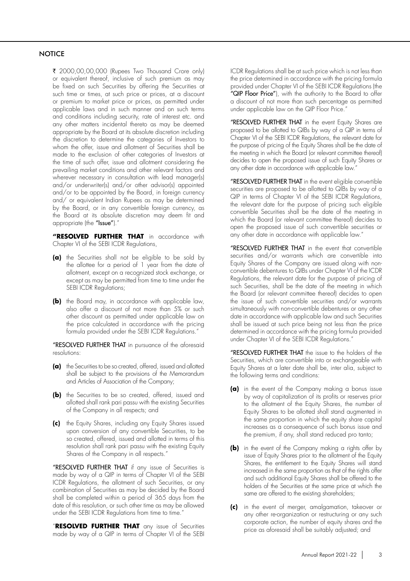₹ 2000,00,00,000 (Rupees Two Thousand Crore only) or equivalent thereof, inclusive of such premium as may be fixed on such Securities by offering the Securities at such time or times, at such price or prices, at a discount or premium to market price or prices, as permitted under applicable laws and in such manner and on such terms and conditions including security, rate of interest etc. and any other matters incidental thereto as may be deemed appropriate by the Board at its absolute discretion including the discretion to determine the categories of Investors to whom the offer, issue and allotment of Securities shall be made to the exclusion of other categories of Investors at the time of such offer, issue and allotment considering the prevailing market conditions and other relevant factors and wherever necessary in consultation with lead manager(s) and/or underwriter(s) and/or other advisor(s) appointed and/or to be appointed by the Board, in foreign currency and/ or equivalent Indian Rupees as may be determined by the Board, or in any convertible foreign currency, as the Board at its absolute discretion may deem fit and appropriate (the "Issue")."

**"RESOLVED FURTHER THAT** in accordance with Chapter VI of the SEBI ICDR Regulations,

- **(a)** the Securities shall not be eligible to be sold by the allottee for a period of 1 year from the date of allotment, except on a recognized stock exchange, or except as may be permitted from time to time under the SEBI ICDR Regulations;
- **(b)** the Board may, in accordance with applicable law, also offer a discount of not more than 5% or such other discount as permitted under applicable law on the price calculated in accordance with the pricing formula provided under the SEBI ICDR Regulations."

"RESOLVED FURTHER THAT in pursuance of the aforesaid resolutions:

- **(a)** the Securities to be so created, offered, issued and allotted shall be subject to the provisions of the Memorandum and Articles of Association of the Company;
- **(b)** the Securities to be so created, offered, issued and allotted shall rank pari passu with the existing Securities of the Company in all respects; and
- **(c)** the Equity Shares, including any Equity Shares issued upon conversion of any convertible Securities, to be so created, offered, issued and allotted in terms of this resolution shall rank pari passu with the existing Equity Shares of the Company in all respects."

"RESOLVED FURTHER THAT if any issue of Securities is made by way of a QIP in terms of Chapter VI of the SEBI ICDR Regulations, the allotment of such Securities, or any combination of Securities as may be decided by the Board shall be completed within a period of 365 days from the date of this resolution, or such other time as may be allowed under the SEBI ICDR Regulations from time to time."

"**RESOLVED FURTHER THAT** any issue of Securities made by way of a QIP in terms of Chapter VI of the SEBI ICDR Regulations shall be at such price which is not less than the price determined in accordance with the pricing formula provided under Chapter VI of the SEBI ICDR Regulations (the "QIP Floor Price"), with the authority to the Board to offer a discount of not more than such percentage as permitted under applicable law on the QIP Floor Price."

"RESOLVED FURTHER THAT in the event Equity Shares are proposed to be allotted to QIBs by way of a QIP in terms of Chapter VI of the SEBI ICDR Regulations, the relevant date for the purpose of pricing of the Equity Shares shall be the date of the meeting in which the Board (or relevant committee thereof) decides to open the proposed issue of such Equity Shares or any other date in accordance with applicable law."

"RESOLVED FURTHER THAT in the event eligible convertible securities are proposed to be allotted to QIBs by way of a QIP in terms of Chapter VI of the SEBI ICDR Regulations, the relevant date for the purpose of pricing such eligible convertible Securities shall be the date of the meeting in which the Board (or relevant committee thereof) decides to open the proposed issue of such convertible securities or any other date in accordance with applicable law."

"RESOLVED FURTHER THAT in the event that convertible securities and/or warrants which are convertible into Equity Shares of the Company are issued along with nonconvertible debentures to QIBs under Chapter VI of the ICDR Regulations, the relevant date for the purpose of pricing of such Securities, shall be the date of the meeting in which the Board (or relevant committee thereof) decides to open the issue of such convertible securities and/or warrants simultaneously with non-convertible debentures or any other date in accordance with applicable law and such Securities shall be issued at such price being not less than the price determined in accordance with the pricing formula provided under Chapter VI of the SEBI ICDR Regulations."

"RESOLVED FURTHER THAT the issue to the holders of the Securities, which are convertible into or exchangeable with Equity Shares at a later date shall be, inter alia, subject to the following terms and conditions:

- **(a)** in the event of the Company making a bonus issue by way of capitalization of its profits or reserves prior to the allotment of the Equity Shares, the number of Equity Shares to be allotted shall stand augmented in the same proportion in which the equity share capital increases as a consequence of such bonus issue and the premium, if any, shall stand reduced pro tanto;
- **(b)** in the event of the Company making a rights offer by issue of Equity Shares prior to the allotment of the Equity Shares, the entitlement to the Equity Shares will stand increased in the same proportion as that of the rights offer and such additional Equity Shares shall be offered to the holders of the Securities at the same price at which the same are offered to the existing shareholders;
- **(c)** in the event of merger, amalgamation, takeover or any other re-organization or restructuring or any such corporate action, the number of equity shares and the price as aforesaid shall be suitably adjusted; and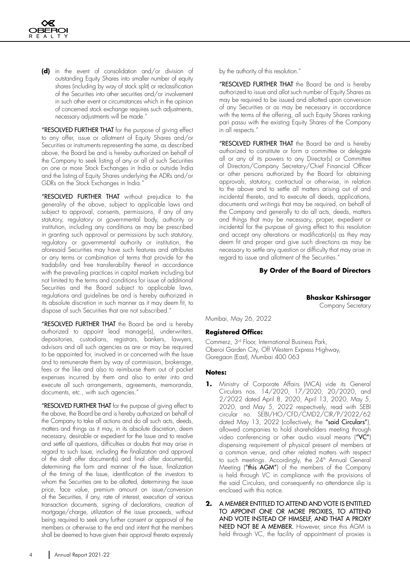**(d)** in the event of consolidation and/or division of outstanding Equity Shares into smaller number of equity shares (including by way of stock split) or reclassification of the Securities into other securities and/or involvement in such other event or circumstances which in the opinion of concerned stock exchange requires such adjustments, necessary adjustments will be made."

"RESOLVED FURTHER THAT for the purpose of giving effect to any offer, issue or allotment of Equity Shares and/or Securities or instruments representing the same, as described above, the Board be and is hereby authorized on behalf of the Company to seek listing of any or all of such Securities on one or more Stock Exchanges in India or outside India and the listing of Equity Shares underlying the ADRs and/or GDRs on the Stock Exchanges in India."

"RESOLVED FURTHER THAT without prejudice to the generality of the above, subject to applicable laws and subject to approval, consents, permissions, if any of any statutory, regulatory or governmental body, authority or institution, including any conditions as may be prescribed in granting such approval or permissions by such statutory, regulatory or governmental authority or institution, the aforesaid Securities may have such features and attributes or any terms or combination of terms that provide for the tradability and free transferability thereof in accordance with the prevailing practices in capital markets including but not limited to the terms and conditions for issue of additional Securities and the Board subject to applicable laws, regulations and guidelines be and is hereby authorized in its absolute discretion in such manner as it may deem fit, to dispose of such Securities that are not subscribed."

"RESOLVED FURTHER THAT the Board be and is hereby authorized to appoint lead manager(s), underwriters, depositories, custodians, registrars, bankers, lawyers, advisors and all such agencies as are or may be required to be appointed for, involved in or concerned with the Issue and to remunerate them by way of commission, brokerage, fees or the like and also to reimburse them out of pocket expenses incurred by them and also to enter into and execute all such arrangements, agreements, memoranda, documents, etc., with such agencies."

"RESOLVED FURTHER THAT for the purpose of giving effect to the above, the Board be and is hereby authorized on behalf of the Company to take all actions and do all such acts, deeds, matters and things as it may, in its absolute discretion, deem necessary, desirable or expedient for the Issue and to resolve and settle all questions, difficulties or doubts that may arise in regard to such Issue, including the finalization and approval of the draft offer document(s) and final offer document(s), determining the form and manner of the Issue, finalization of the timing of the Issue, identification of the investors to whom the Securities are to be allotted, determining the issue price, face value, premium amount on issue/conversion of the Securities, if any, rate of interest, execution of various transaction documents, signing of declarations, creation of mortgage/charge, utilization of the issue proceeds, without being required to seek any further consent or approval of the members or otherwise to the end and intent that the members shall be deemed to have given their approval thereto expressly

"RESOLVED FURTHER THAT the Board be and is hereby authorized to issue and allot such number of Equity Shares as may be required to be issued and allotted upon conversion of any Securities or as may be necessary in accordance with the terms of the offering, all such Equity Shares ranking pari passu with the existing Equity Shares of the Company in all respects."

"RESOLVED FURTHER THAT the Board be and is hereby authorized to constitute or form a committee or delegate all or any of its powers to any Director(s) or Committee of Directors/Company Secretary/Chief Financial Officer or other persons authorized by the Board for obtaining approvals, statutory, contractual or otherwise, in relation to the above and to settle all matters arising out of and incidental thereto, and to execute all deeds, applications, documents and writings that may be required, on behalf of the Company and generally to do all acts, deeds, matters and things that may be necessary, proper, expedient or incidental for the purpose of giving effect to this resolution and accept any alterations or modification(s) as they may deem fit and proper and give such directions as may be necessary to settle any question or difficulty that may arise in regard to issue and allotment of the Securities."

## **By Order of the Board of Directors**

**Bhaskar Kshirsagar**

Company Secretary

Mumbai, May 26, 2022

## **Registered Office:**

Commerz, 3rd Floor, International Business Park, Oberoi Garden City, Off Western Express Highway, Goregaon (East), Mumbai 400 063

#### **Notes:**

- **1.** Ministry of Corporate Affairs (MCA) vide its General Circulars nos. 14/2020, 17/2020, 20/2020, and 2/2022 dated April 8, 2020, April 13, 2020, May 5, 2020, and May 5, 2022 respectively, read with SEBI circular no. SEBI/HO/CFD/CMD2/CIR/P/2022/62 dated May 13, 2022 (collectively, the "said Circulars"), allowed companies to hold shareholders meeting through video conferencing or other audio visual means ("VC") dispensing requirement of physical present of members at a common venue, and other related matters with respect to such meetings. Accordingly, the 24<sup>th</sup> Annual General Meeting ("this AGM") of the members of the Company is held through VC in compliance with the provisions of the said Circulars, and consequently no attendance slip is enclosed with this notice.
- **2.** A MEMBER ENTITLED TO ATTEND AND VOTE IS ENTITLED TO APPOINT ONE OR MORE PROXIES, TO ATTEND AND VOTE INSTEAD OF HIMSELF, AND THAT A PROXY NEED NOT BE A MEMBER. However, since this AGM is held through VC, the facility of appointment of proxies is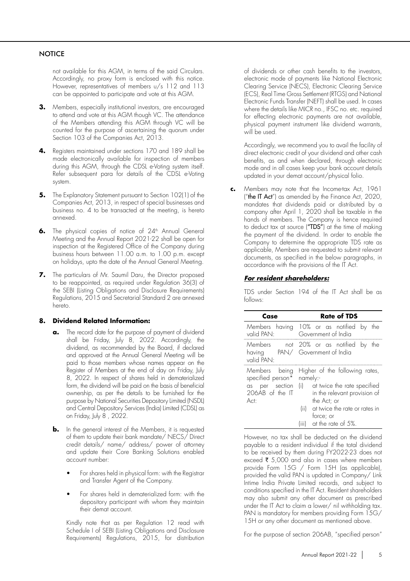not available for this AGM, in terms of the said Circulars. Accordingly, no proxy form is enclosed with this notice. However, representatives of members u/s 112 and 113 can be appointed to participate and vote at this AGM.

- **3.** Members, especially institutional investors, are encouraged to attend and vote at this AGM though VC. The attendance of the Members attending this AGM through VC will be counted for the purpose of ascertaining the quorum under Section 103 of the Companies Act, 2013.
- **4.** Registers maintained under sections 170 and 189 shall be made electronically available for inspection of members during this AGM, through the CDSL e-Voting system itself. Refer subsequent para for details of the CDSL e-Voting system.
- **5.** The Explanatory Statement pursuant to Section 102(1) of the Companies Act, 2013, in respect of special businesses and business no. 4 to be transacted at the meeting, is hereto annexed.
- 6. The physical copies of notice of 24<sup>th</sup> Annual General Meeting and the Annual Report 2021-22 shall be open for inspection at the Registered Office of the Company during business hours between 11.00 a.m. to 1.00 p.m. except on holidays, upto the date of the Annual General Meeting.
- **7.** The particulars of Mr. Saumil Daru, the Director proposed to be reappointed, as required under Regulation 36(3) of the SEBI (Listing Obligations and Disclosure Requirements) Regulations, 2015 and Secretarial Standard 2 are annexed hereto.

## **8. Dividend Related Information:**

- **a.** The record date for the purpose of payment of dividend shall be Friday, July 8, 2022. Accordingly, the dividend, as recommended by the Board, if declared and approved at the Annual General Meeting will be paid to those members whose names appear on the Register of Members at the end of day on Friday, July 8, 2022. In respect of shares held in dematerialized form, the dividend will be paid on the basis of beneficial ownership, as per the details to be furnished for the purpose by National Securities Depository Limited (NSDL) and Central Depository Services (India) Limited (CDSL) as on Friday, July 8 , 2022.
- **b.** In the general interest of the Members, it is requested of them to update their bank mandate/ NECS/ Direct credit details/ name/ address/ power of attorney and update their Core Banking Solutions enabled account number:
	- For shares held in physical form: with the Registrar and Transfer Agent of the Company.
	- For shares held in dematerialized form: with the depository participant with whom they maintain their demat account.

 Kindly note that as per Regulation 12 read with Schedule I of SEBI (Listing Obligations and Disclosure Requirements) Regulations, 2015, for distribution

of dividends or other cash benefits to the investors, electronic mode of payments like National Electronic Clearing Service (NECS), Electronic Clearing Service (ECS), Real Time Gross Settlement (RTGS) and National Electronic Funds Transfer (NEFT) shall be used. In cases where the details like MICR no., IFSC no. etc. required for effecting electronic payments are not available, physical payment instrument like dividend warrants, will be used.

 Accordingly, we recommend you to avail the facility of direct electronic credit of your dividend and other cash benefits, as and when declared, through electronic mode and in all cases keep your bank account details updated in your demat account/physical folio.

**c.** Members may note that the Income-tax Act, 1961 ("the IT Act") as amended by the Finance Act, 2020, mandates that dividends paid or distributed by a company after April 1, 2020 shall be taxable in the hands of members. The Company is hence required to deduct tax at source ("TDS") at the time of making the payment of the dividend. In order to enable the Company to determine the appropriate TDS rate as applicable, Members are requested to submit relevant documents, as specified in the below paragraphs, in accordance with the provisions of the IT Act.

## **For resident shareholders:**

 TDS under Section 194 of the IT Act shall be as follows:

| Case                                                                      | <b>Rate of TDS</b>                                                                                                                                                                                                   |
|---------------------------------------------------------------------------|----------------------------------------------------------------------------------------------------------------------------------------------------------------------------------------------------------------------|
| valid PAN:                                                                | Members having 10% or as notified by the<br>Government of India                                                                                                                                                      |
| Members<br>valid PAN:                                                     | not 20% or as notified by the<br>having PAN/ Government of India                                                                                                                                                     |
| Members being<br>specified person* namely:-<br>206AB of the IT<br>$Act^r$ | Higher of the following rates,<br>as per section (i) at twice the rate specified<br>in the relevant provision of<br>the Act; or<br>at twice the rate or rates in<br>(ii)<br>torce; or<br>at the rate of 5%.<br>(iii) |

 However, no tax shall be deducted on the dividend payable to a resident individual if the total dividend to be received by them during FY2022-23 does not exceed  $\bar{\tau}$  5,000 and also in cases where members provide Form 15G / Form 15H (as applicable), provided the valid PAN is updated in Company/ Link Intime India Private Limited records, and subject to conditions specified in the IT Act. Resident shareholders may also submit any other document as prescribed under the IT Act to claim a lower/ nil withholding tax. PAN is mandatory for members providing Form 15G/ 15H or any other document as mentioned above.

 For the purpose of section 206AB, "specified person"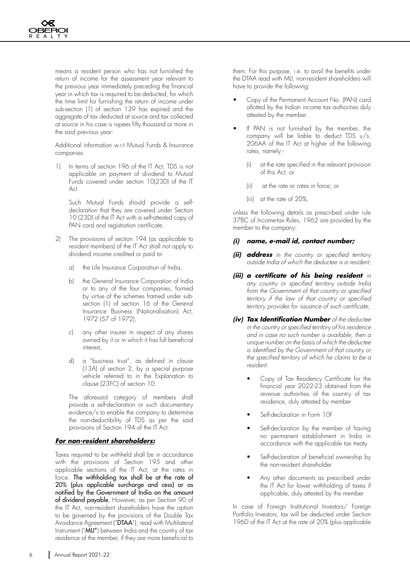means a resident person who has not furnished the return of income for the assessment year relevant to the previous year immediately preceding the financial year in which tax is required to be deducted, for which the time limit for furnishing the return of income under sub-section (1) of [section](javascript:ShowMainContent() 139 has expired and the aggregate of tax deducted at source and tax collected at source in his case is rupees fifty thousand or more in the said previous year:

 Additional information w.r.t Mutual Funds & Insurance companies

1) In terms of section 196 of the IT Act, TDS is not applicable on payment of dividend to Mutual Funds covered under section 10(23D) of the IT Act.

 Such Mutual Funds should provide a selfdeclaration that they are covered under Section 10 (23D) of the IT Act with a self-attested copy of PAN card and registration certificate.

- 2) The provisions of section 194 (as applicable to resident members) of the IT Act shall not apply to dividend income credited or paid to-
	- a) the Life Insurance Corporation of India,
	- b) the General Insurance Corporation of India or to any of the four companies, formed by virtue of the schemes framed under subsection (1) of section 16 of the General Insurance Business (Nationalisation) Act, 1972 (57 of 1972),
	- c) any other insurer in respect of any shares owned by it or in which it has full beneficial interest,
	- d) a "business trust", as defined in clause (13A) of [section](javascript:ShowMainContent() 2, by a special purpose vehicle referred to in the Explanation to clause (23FC) of [section](javascript:ShowMainContent() 10.

 The aforesaid category of members shall provide a self-declaration or such documentary evidence/s to enable the company to determine the non-deductibility of TDS as per the said provisions of Section 194 of the IT Act.

# **For non-resident shareholders:**

 Taxes required to be withheld shall be in accordance with the provisions of Section 195 and other applicable sections of the IT Act, at the rates in force. The withholding tax shall be at the rate of 20% (plus applicable surcharge and cess) or as notified by the Government of India on the amount of dividend payable. However, as per Section 90 of the IT Act, non-resident shareholders have the option to be governed by the provisions of the Double Tax Avoidance Agreement ("DTAA"), read with Multilateral Instrument ("MLI") between India and the country of tax residence of the member, if they are more beneficial to

them. For this purpose, i.e. to avail the benefits under the DTAA read with MLI, non-resident shareholders will have to provide the following:

- Copy of the Permanent Account No. (PAN) card allotted by the Indian income tax authorities duly attested by the member.
- If PAN is not furnished by the member, the company will be liable to deduct TDS u/s. 206AA of the IT Act at higher of the following rates, namely:-
	- (i) at the rate specified in the relevant provision of this Act; or
	- (ii) at the rate or rates in force; or
	- (iii) at the rate of 20%,

 unless the following details as prescribed under rule 37BC of Income-tax Rules, 1962 are provided by the member to the company:

## **(i) name, e-mail id, contact number;**

- **(ii) address** in the country or specified territory outside India of which the deductee is a resident;
- **(iii) a certificate of his being resident** in any country or specified territory outside India from the Government of that country or specified territory if the law of that country or specified territory provides for issuance of such certificate;
- **(iv) Tax Identification Number** of the deductee in the country or specified territory of his residence and in case no such number is available, then a unique number on the basis of which the deductee is identified by the Government of that country or the specified territory of which he claims to be <sup>a</sup> resident.
	- Copy of Tax Residency Certificate for the financial year 2022-23 obtained from the revenue authorities of the country of tax residence, duly attested by member
	- Self-declaration in Form 10F
	- Self-declaration by the member of having no permanent establishment in India in accordance with the applicable tax treaty
	- Self-declaration of beneficial ownership by the non-resident shareholder
	- Any other documents as prescribed under the IT Act for lower withholding of taxes if applicable, duly attested by the member

 In case of Foreign Institutional Investors/ Foreign Portfolio Investors, tax will be deducted under Section 196D of the IT Act at the rate of 20% (plus applicable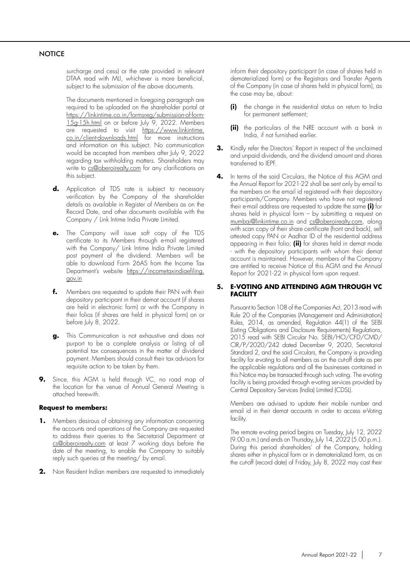surcharge and cess) or the rate provided in relevant DTAA read with MLI, whichever is more beneficial, subject to the submission of the above documents.

 The documents mentioned in foregoing paragraph are required to be uploaded on the shareholder portal at [https://linkintime.co.in/formsreg/submission-of-form-](https://linkintime.co.in/formsreg/submission-of-form-15g-15h.html)[15g-15h.html](https://linkintime.co.in/formsreg/submission-of-form-15g-15h.html) on or before July 9, 2022. Members are requested to visit [https://www.linkintime.](https://www.linkintime.co.in/client-downloads.html) [co.in/client-downloads.html](https://www.linkintime.co.in/client-downloads.html) for more instructions and information on this subject. No communication would be accepted from members after July 9, 2022 regarding tax withholding matters. Shareholders may write to [cs@oberoirealty.com](mailto:cs@oberoirealty.com) for any clarifications on this subject.

- **d.** Application of TDS rate is subject to necessary verification by the Company of the shareholder details as available in Register of Members as on the Record Date, and other documents available with the Company / Link Intime India Private Limited.
- **e.** The Company will issue soft copy of the TDS certificate to its Members through e-mail registered with the Company/ Link Intime India Private Limited post payment of the dividend. Members will be able to download Form 26AS from the Income Tax Department's website [https://incometaxindiaefiling.](https://incometaxindiaefiling.gov.in) [gov.in](https://incometaxindiaefiling.gov.in)
- **f.** Members are requested to update their PAN with their depository participant in their demat account (if shares are held in electronic form) or with the Company in their folios (if shares are held in physical form) on or before July 8, 2022.
- **g.** This Communication is not exhaustive and does not purport to be a complete analysis or listing of all potential tax consequences in the matter of dividend payment. Members should consult their tax advisors for requisite action to be taken by them.
- **9.** Since, this AGM is held through VC, no road map of the location for the venue of Annual General Meeting is attached herewith.

## **Request to members:**

- **1.** Members desirous of obtaining any information concerning the accounts and operations of the Company are requested to address their queries to the Secretarial Department at [cs@oberoirealty.com](mailto:cs@oberoirealty.com) at least 7 working days before the date of the meeting, to enable the Company to suitably reply such queries at the meeting/ by email.
- **2.** Non Resident Indian members are requested to immediately

inform their depository participant (in case of shares held in dematerialized form) or the Registrars and Transfer Agents of the Company (in case of shares held in physical form), as the case may be, about:

- **(i)** the change in the residential status on return to India for permanent settlement;
- **(ii)** the particulars of the NRE account with a bank in India, if not furnished earlier.
- **3.** Kindly refer the Directors' Report in respect of the unclaimed and unpaid dividends, and the dividend amount and shares transferred to IEPF.
- **4.** In terms of the said Circulars, the Notice of this AGM and the Annual Report for 2021-22 shall be sent only by email to the members on the email id registered with their depository participants/Company. Members who have not registered their e-mail address are requested to update the same **(i)** for shares held in physical form – by submitting a request on [mumbai@linkintime.co.in](mailto:mumbai@linkintime.co.in) and [cs@oberoirealty.com,](mailto:cs@oberoirealty.com) along with scan copy of their share certificate (front and back), self attested copy PAN or Aadhar ID of the residential address appearing in their folio; **(ii)** for shares held in demat mode - with the depository participants with whom their demat account is maintained. However, members of the Company are entitled to receive Notice of this AGM and the Annual Report for 2021-22 in physical form upon request.

## **5. E-VOTING AND ATTENDING AGM THROUGH VC FACILITY**

Pursuant to Section 108 of the Companies Act, 2013 read with Rule 20 of the Companies (Management and Administration) Rules, 2014, as amended, Regulation 44(1) of the SEBI (Listing Obligations and Disclosure Requirements) Regulations, 2015 read with SEBI Circular No. SEBI/HO/CFD/CMD/ CIR/P/2020/242 dated December 9, 2020, Secretarial Standard 2, and the said Circulars, the Company is providing facility for e-voting to all members as on the cut-off date as per the applicable regulations and all the businesses contained in this Notice may be transacted through such voting. The e-voting facility is being provided through e-voting services provided by Central Depository Services (India) Limited (CDSL).

Members are advised to update their mobile number and email id in their demat accounts in order to access e-Voting facility.

The remote e-voting period begins on Tuesday, July 12, 2022 (9.00 a.m.) and ends on Thursday, July 14, 2022 (5.00 p.m.). During this period shareholders' of the Company, holding shares either in physical form or in dematerialized form, as on the cut-off (record date) of Friday, July 8, 2022 may cast their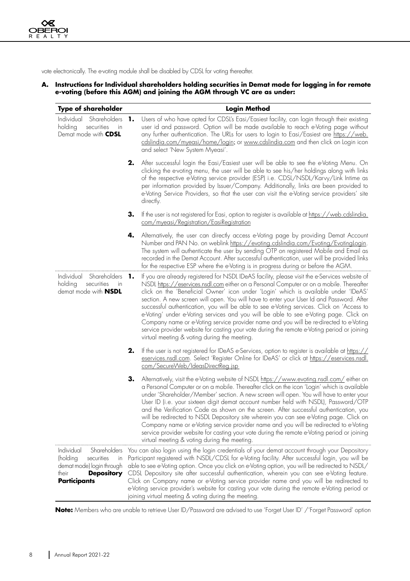vote electronically. The e-voting module shall be disabled by CDSL for voting thereafter.

## **A. Instructions for Individual shareholders holding securities in Demat mode for logging in for remote e-voting (before this AGM) and joining the AGM through VC are as under:**

| <b>Type of shareholder</b>                                                                                                                   |                                                                                                                                                                                                                                                                                                                                                                                                                                                                                                                                                                                                                                                       | <b>Login Method</b>                                                                                                                                                                                                                                                                                                                                                                                                                                                                                                                                                                                                                                                                                                                                                                                         |
|----------------------------------------------------------------------------------------------------------------------------------------------|-------------------------------------------------------------------------------------------------------------------------------------------------------------------------------------------------------------------------------------------------------------------------------------------------------------------------------------------------------------------------------------------------------------------------------------------------------------------------------------------------------------------------------------------------------------------------------------------------------------------------------------------------------|-------------------------------------------------------------------------------------------------------------------------------------------------------------------------------------------------------------------------------------------------------------------------------------------------------------------------------------------------------------------------------------------------------------------------------------------------------------------------------------------------------------------------------------------------------------------------------------------------------------------------------------------------------------------------------------------------------------------------------------------------------------------------------------------------------------|
| Individual<br>Shareholders<br>holding<br>securities<br>in<br>Demat mode with <b>CDSL</b>                                                     | 1.                                                                                                                                                                                                                                                                                                                                                                                                                                                                                                                                                                                                                                                    | Users of who have opted for CDSL's Easi/Easiest facility, can login through their existing<br>user id and password. Option will be made available to reach e-Voting page without<br>any further authentication. The URLs for users to login to Easi/Easiest are https://web.<br>cdslindia.com/myeasi/home/login; or www.cdslindia.com and then click on login icon<br>and select 'New System Myeasi'.                                                                                                                                                                                                                                                                                                                                                                                                       |
|                                                                                                                                              | 2.                                                                                                                                                                                                                                                                                                                                                                                                                                                                                                                                                                                                                                                    | After successful login the Easi/Easiest user will be able to see the e-Voting Menu. On<br>clicking the e-voting menu, the user will be able to see his/her holdings along with links<br>of the respective e-Voting service provider (ESP) i.e. CDSL/NSDL/Karvy/Link Intime as<br>per information provided by Issuer/Company. Additionally, links are been provided to<br>e-Voting Service Providers, so that the user can visit the e-Voting service providers' site<br>directly.                                                                                                                                                                                                                                                                                                                           |
|                                                                                                                                              | З.                                                                                                                                                                                                                                                                                                                                                                                                                                                                                                                                                                                                                                                    | If the user is not registered for Easi, option to register is available at <u>https://web.cdslindia.</u><br>com/myeasi/Registration/EasiRegistration                                                                                                                                                                                                                                                                                                                                                                                                                                                                                                                                                                                                                                                        |
|                                                                                                                                              | 4.                                                                                                                                                                                                                                                                                                                                                                                                                                                                                                                                                                                                                                                    | Alternatively, the user can directly access e-Voting page by providing Demat Account<br>Number and PAN No. on weblink https://evoting.cdslindia.com/Evoting/EvotingLogin.<br>The system will authenticate the user by sending OTP on registered Mobile and Email as<br>recorded in the Demat Account. After successful authentication, user will be provided links<br>for the respective ESP where the e-Voting is in progress during or before the AGM.                                                                                                                                                                                                                                                                                                                                                    |
| Shareholders<br>Individual<br>holding<br>securities<br>-in<br>demat mode with <b>NSDL</b>                                                    | -1.                                                                                                                                                                                                                                                                                                                                                                                                                                                                                                                                                                                                                                                   | If you are already registered for NSDL IDeAS facility, please visit the e-Services website of<br>NSDL https://eservices.nsdl.com either on a Personal Computer or on a mobile. Thereafter<br>click on the 'Beneficial Owner' icon under 'Login' which is available under 'IDeAS'<br>section. A new screen will open. You will have to enter your User Id and Password. After<br>successful authentication, you will be able to see e-Voting services. Click on 'Access to<br>e-Voting' under e-Voting services and you will be able to see e-Voting page. Click on<br>Company name or e-Voting service provider name and you will be re-directed to e-Voting<br>service provider website for casting your vote during the remote e-Voting period or joining<br>virtual meeting & voting during the meeting. |
|                                                                                                                                              | 2.                                                                                                                                                                                                                                                                                                                                                                                                                                                                                                                                                                                                                                                    | If the user is not registered for IDeAS e-Services, option to register is available at https://<br>eservices.nsdl.com. Select 'Register Online for IDeAS' or click at https://eservices.nsdl.<br>com/SecureWeb/IdeasDirectReg.jsp                                                                                                                                                                                                                                                                                                                                                                                                                                                                                                                                                                           |
|                                                                                                                                              | з.                                                                                                                                                                                                                                                                                                                                                                                                                                                                                                                                                                                                                                                    | Alternatively, visit the e-Voting website of NSDL https://www.evoting.nsdl.com/either on<br>a Personal Computer or on a mobile. Thereafter click on the icon 'Login' which is available<br>under 'Shareholder/Member' section. A new screen will open. You will have to enter your<br>User ID (i.e. your sixteen digit demat account number held with NSDL), Password/OTP<br>and the Verification Code as shown on the screen. After successful authentication, you<br>will be redirected to NSDL Depository site wherein you can see e-Voting page. Click on<br>Company name or e-Voting service provider name and you will be redirected to e-Voting<br>service provider website for casting your vote during the remote e-Voting period or joining<br>virtual meeting & voting during the meeting.       |
| Individual<br>Shareholders<br>(holding<br>securities<br>in<br>demat mode) login through<br><b>Depository</b><br>their<br><b>Participants</b> | You can also login using the login credentials of your demat account through your Depository<br>Participant registered with NSDL/CDSL for e-Voting facility. After successful login, you will be<br>able to see e-Voting option. Once you click on e-Voting option, you will be redirected to NSDL/<br>CDSL Depository site after successful authentication, wherein you can see e-Voting feature.<br>Click on Company name or e-Voting service provider name and you will be redirected to<br>e-Voting service provider's website for casting your vote during the remote e-Voting period or<br>joining virtual meeting & voting during the meeting. |                                                                                                                                                                                                                                                                                                                                                                                                                                                                                                                                                                                                                                                                                                                                                                                                             |

**Note:** Members who are unable to retrieve User ID/Password are advised to use 'Forget User ID' /'Forget Password' option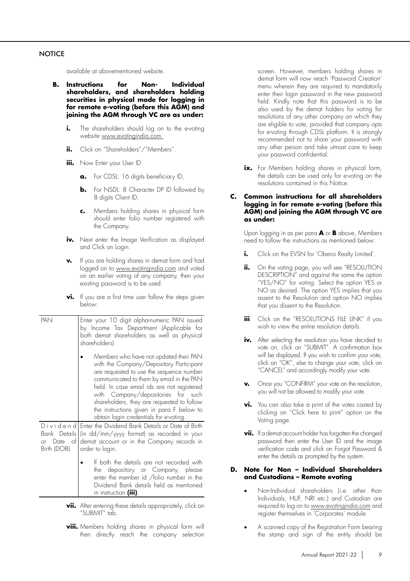available at abovementioned website.

- **B. Instructions for Non- Individual shareholders, and shareholders holding securities in physical mode for logging in for remote e-voting (before this AGM) and joining the AGM through VC are as under:**
	- **i.** The shareholders should log on to the e-voting website [www.evotingindia.com](http://www.evotingindia.com)
	- **ii.** Click on "Shareholders"/"Members".
	- **iii.** Now Enter your User ID
		- **a.** For CDSL: 16 digits beneficiary ID,
		- **b.** For NSDL: 8 Character DP ID followed by 8 digits Client ID,
		- **c.** Members holding shares in physical form should enter folio number registered with the Company.
	- iv. Next enter the Image Verification as displayed and Click on Login.
	- **v.** If you are holding shares in demat form and had logged on to [www.evotingindia.com](http://www.evotingindia.com) and voted on an earlier voting of any company, then your existing password is to be used.
	- **vi.** If you are a first time user follow the steps given below:
- PAN Enter your 10 digit alpha-numeric PAN issued by Income Tax Department (Applicable for both demat shareholders as well as physical shareholders) Members who have not updated their PAN with the Company/Depository Participant are requested to use the sequence number communicated to them by email in the PAN field. In case email ids are not registered with Company/depositories for such shareholders, they are requested to follow the instructions given in para F below to obtain login credentials for e-voting. D i v i d e n d Enter the Dividend Bank Details or Date of Birth Bank Details or Date of Birth (DOB) (in dd/mm/yyyy format) as recorded in your demat account or in the Company records in order to login. If both the details are not recorded with the depository or Company, please enter the member id /folio number in the Dividend Bank details field as mentioned in instruction **(iii)**. **vii.** After entering these details appropriately, click on
	- **viii.** Members holding shares in physical form will then directly reach the company selection

"SUBMIT" tab.

screen. However, members holding shares in demat form will now reach 'Password Creation' menu wherein they are required to mandatorily enter their login password in the new password field. Kindly note that this password is to be also used by the demat holders for voting for resolutions of any other company on which they are eligible to vote, provided that company opts for e-voting through CDSL platform. It is strongly recommended not to share your password with any other person and take utmost care to keep your password confidential.

ix. For Members holding shares in physical form, the details can be used only for e-voting on the resolutions contained in this Notice.

## **C. Common instructions for all shareholders logging in for remote e-voting (before this AGM) and joining the AGM through VC are as under:**

 Upon logging in as per para **A** or **B** above, Members need to follow the instructions as mentioned below:

- **i.** Click on the EVSN for 'Oberoi Realty Limited'.
- **ii.** On the voting page, you will see "RESOLUTION DESCRIPTION" and against the same the option "YES/NO" for voting. Select the option YES or NO as desired. The option YES implies that you assent to the Resolution and option NO implies that you dissent to the Resolution.
- **iii**. Click on the "RESOLUTIONS FILE LINK" if you wish to view the entire resolution details.
- iv. After selecting the resolution you have decided to vote on, click on "SUBMIT". A confirmation box will be displayed. If you wish to confirm your vote, click on "OK", else to change your vote, click on "CANCEL" and accordingly modify your vote.
- **v.** Once you "CONFIRM" your vote on the resolution, you will not be allowed to modify your vote.
- **vi.** You can also take a print of the votes casted by clicking on "Click here to print" option on the Voting page.
- **vii.** If a demat account holder has forgotten the changed password then enter the User ID and the image verification code and click on Forgot Password & enter the details as prompted by the system.

## **D. Note for Non – Individual Shareholders and Custodians – Remote evoting**

- Non-Individual shareholders (i.e. other than Individuals, HUF, NRI etc.) and Custodian are required to log on to [www.evotingindia.com](http://www.evotingindia.com) and register themselves in 'Corporates' module.
- A scanned copy of the Registration Form bearing the stamp and sign of the entity should be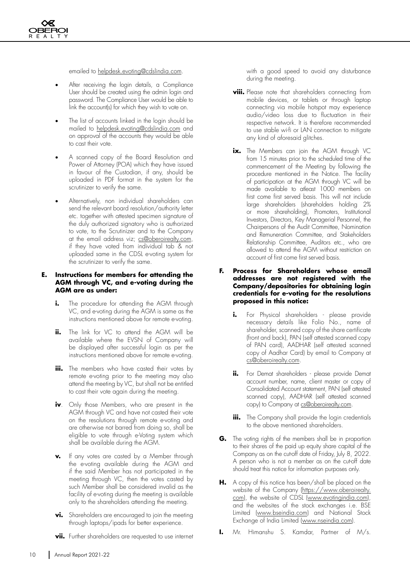emailed to [helpdesk.evoting@cdslindia.com](mailto:helpdesk.evoting@cdslindia.com).

- After receiving the login details, a Compliance User should be created using the admin login and password. The Compliance User would be able to link the account(s) for which they wish to vote on.
- The list of accounts linked in the login should be mailed to [helpdesk.evoting@cdslindia.com](mailto:helpdesk.evoting@cdslindia.com) and on approval of the accounts they would be able to cast their vote.
- A scanned copy of the Board Resolution and Power of Attorney (POA) which they have issued in favour of the Custodian, if any, should be uploaded in PDF format in the system for the scrutinizer to verify the same.
- Alternatively, non individual shareholders can send the relevant board resolution/authority letter etc. together with attested specimen signature of the duly authorized signatory who is authorized to vote, to the Scrutinizer and to the Company at the email address viz; [cs@oberoirealty.com](mailto:cs@oberoirealty.com), if they have voted from individual tab & not uploaded same in the CDSL e-voting system for the scrutinizer to verify the same.

#### **E. Instructions for members for attending the AGM through VC, and e-voting during the AGM are as under:**

- **i.** The procedure for attending the AGM through VC, and e-voting during the AGM is same as the instructions mentioned above for remote e-voting.
- **ii.** The link for VC to attend the AGM will be available where the EVSN of Company will be displayed after successful login as per the instructions mentioned above for remote e-voting.
- **iii.** The members who have casted their votes by remote e-voting prior to the meeting may also attend the meeting by VC, but shall not be entitled to cast their vote again during the meeting.
- **iv**. Only those Members, who are present in the AGM through VC and have not casted their vote on the resolutions through remote e-voting and are otherwise not barred from doing so, shall be eligible to vote through e-Voting system which shall be available during the AGM.
- **v.** If any votes are casted by a Member through the e-voting available during the AGM and if the said Member has not participated in the meeting through VC, then the votes casted by such Member shall be considered invalid as the facility of e-voting during the meeting is available only to the shareholders attending the meeting.
- **vi.** Shareholders are encouraged to join the meeting through laptops/ipads for better experience.
- **vii.** Further shareholders are requested to use internet

with a good speed to avoid any disturbance during the meeting.

- **viii.** Please note that shareholders connecting from mobile devices, or tablets or through laptop connecting via mobile hotspot may experience audio/video loss due to fluctuation in their respective network. It is therefore recommended to use stable wi-fi or LAN connection to mitigate any kind of aforesaid glitches.
- ix. The Members can join the AGM through VC from 15 minutes prior to the scheduled time of the commencement of the Meeting by following the procedure mentioned in the Notice. The facility of participation at the AGM through VC will be made available to atleast 1000 members on first come first served basis. This will not include large shareholders (shareholders holding 2% or more shareholding), Promoters, Institutional Investors, Directors, Key Managerial Personnel, the Chairpersons of the Audit Committee, Nomination and Remuneration Committee, and Stakeholders Relationship Committee, Auditors etc., who are allowed to attend the AGM without restriction on account of first come first served basis.

#### **F. Process for Shareholders whose email addresses are not registered with the Company/depositories for obtaining login credentials for e-voting for the resolutions proposed in this notice:**

- **i.** For Physical shareholders please provide necessary details like Folio No., name of shareholder, scanned copy of the share certificate (front and back), PAN (self attested scanned copy of PAN card), AADHAR (self attested scanned copy of Aadhar Card) by email to Company at [cs@oberoirealty.com](mailto:cs@oberoirealty.com).
- **ii.** For Demat shareholders please provide Demat account number, name, client master or copy of Consolidated Account statement, PAN (self attested scanned copy), AADHAR (self attested scanned copy) to Company at [cs@oberoirealty.com.](mailto:cs@oberoirealty.com)
- **iii.** The Company shall provide the login credentials to the above mentioned shareholders.
- **G.** The voting rights of the members shall be in proportion to their shares of the paid up equity share capital of the Company as on the cut-off date of Friday, July 8, 2022. A person who is not a member as on the cut-off date should treat this notice for information purposes only.
- **H.** A copy of this notice has been/shall be placed on the website of the Company [\(https://www.oberoirealty.](https://www.oberoirealty.com) [com](https://www.oberoirealty.com)), the website of CDSL ([www.evotingindia.com](http://www.evotingindia.com)), and the websites of the stock exchanges i.e. BSE Limited ([www.bseindia.com](http://www.bseindia.com)) and National Stock Exchange of India Limited [\(www.nseindia.com](http://www.nseindia.com)).
- **I.** Mr. Himanshu S. Kamdar, Partner of M/s.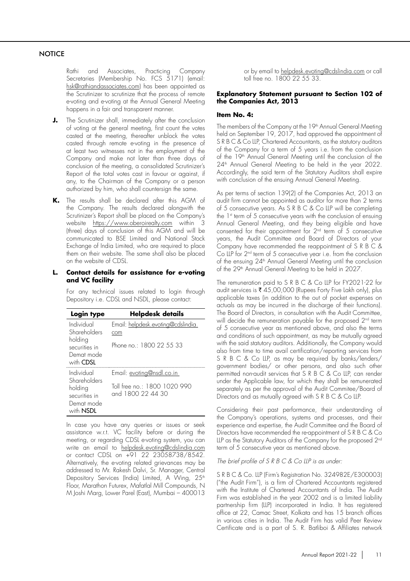Rathi and Associates, Practicing Company Secretaries (Membership No. FCS 5171) (email: [hsk@rathiandassociates.com](mailto:hsk@rathiandassociates.com)) has been appointed as the Scrutinizer to scrutinize that the process of remote e-voting and e-voting at the Annual General Meeting happens in a fair and transparent manner.

- **J.** The Scrutinizer shall, immediately after the conclusion of voting at the general meeting, first count the votes casted at the meeting, thereafter unblock the votes casted through remote e-voting in the presence of at least two witnesses not in the employment of the Company and make not later than three days of conclusion of the meeting, a consolidated Scrutinizer's Report of the total votes cast in favour or against, if any, to the Chairman of the Company or a person authorized by him, who shall countersign the same.
- **K.** The results shall be declared after this AGM of the Company. The results declared alongwith the Scrutinizer's Report shall be placed on the Company's website <https://www.oberoirealty.com> within 3 (three) days of conclusion of this AGM and will be communicated to BSE Limited and National Stock Exchange of India Limited, who are required to place them on their website. The same shall also be placed on the website of CDSL.

#### **L. Contact details for assistance for e-voting and VC facility**

 For any technical issues related to login through Depository i.e. CDSL and NSDL, please contact:

| Login type                                                                               | Helpdesk details                                                                       |
|------------------------------------------------------------------------------------------|----------------------------------------------------------------------------------------|
| Individual<br>Shareholders<br>holding<br>securities in<br>Demat mode<br>with CDSL        | <u>Email: helpdesk.evoting@cdslindia.</u><br>com<br>Phone no.: 1800 22 55 33           |
| Individual<br>Shareholders<br>holding<br>securities in<br>Demat mode<br>with <b>NSDL</b> | <u>Email: evoting@nsdl.co.in_</u><br>Toll free no.: 1800 1020 990<br>and 1800 22 44 30 |

 In case you have any queries or issues or seek assistance w.r.t. VC facility before or during the meeting, or regarding CDSL e-voting system, you can write an email to [helpdesk.evoting@cdslindia.com](mailto:helpdesk.evoting@cdslindia.com) or contact CDSL on +91 22 23058738/8542. Alternatively, the e-voting related grievances may be addressed to Mr. Rakesh Dalvi, Sr. Manager, Central Depository Services (India) Limited, A Wing, 25<sup>th</sup> Floor, Marathon Futurex, Mafatlal Mill Compounds, N M Joshi Marg, Lower Parel (East), Mumbai – 400013

or by email to [helpdesk.evoting@cdslindia.com](mailto:helpdesk.evoting@cdslindia.com) or call toll free no. 1800 22 55 33.

#### **Explanatory Statement pursuant to Section 102 of the Companies Act, 2013**

#### **Item No. 4:**

The members of the Company at the 19<sup>th</sup> Annual General Meeting held on September 19, 2017, had approved the appointment of S R B C & Co LLP, Chartered Accountants, as the statutory auditors of the Company for a term of 5 years i.e. from the conclusion of the 19<sup>th</sup> Annual General Meeting until the conclusion of the 24<sup>th</sup> Annual General Meeting to be held in the year 2022. Accordingly, the said term of the Statutory Auditors shall expire with conclusion of the ensuing Annual General Meeting.

As per terms of section 139(2) of the Companies Act, 2013 an audit firm cannot be appointed as auditor for more than 2 terms of 5 consecutive years. As S R B C & Co LLP will be completing the 1<sup>st</sup> term of 5 consecutive years with the conclusion of ensuing Annual General Meeting, and they being eligible and have consented for their appointment for 2nd term of 5 consecutive years, the Audit Committee and Board of Directors of your Company have recommended the reappointment of S R B C & Co LLP for 2nd term of 5 consecutive year i.e. from the conclusion of the ensuing 24<sup>th</sup> Annual General Meeting until the conclusion of the 29<sup>th</sup> Annual General Meeting to be held in 2027.

The remuneration paid to S R B C & Co LLP for FY2021-22 for audit services is  $\bar{x}$  45,00,000 (Rupees Forty Five Lakh only), plus applicable taxes (in addition to the out of pocket expenses on actuals as may be incurred in the discharge of their functions). The Board of Directors, in consultation with the Audit Committee, will decide the remuneration payable for the proposed 2<sup>nd</sup> term of 5 consecutive year as mentioned above, and also the terms and conditions of such appointment, as may be mutually agreed with the said statutory auditors. Additionally, the Company would also from time to time avail certification/reporting services from S R B C & Co LLP, as may be required by banks/lenders/ government bodies/ or other persons, and also such other permitted non-audit services that S R B C & Co LLP, can render under the Applicable law, for which they shall be remunerated separately as per the approval of the Audit Commitee/Board of Directors and as mutually agreed with S R B C & Co LLP.

Considering their past performance, their understanding of the Company's operations, systems and processes, and their experience and expertise, the Audit Committee and the Board of Directors have recommended the re-appointment of S R B C & Co LLP as the Statutory Auditors of the Company for the proposed 2<sup>nd</sup> term of 5 consecutive year as mentioned above.

#### The brief profile of  $S \, R \, B \, C \, \& C \, O \, ILP$  is as under:

S R B C & Co. LLP (Firm's Registration No. 324982E/E300003) ("the Audit Firm"), is a firm of Chartered Accountants registered with the Institute of Chartered Accountants of India. The Audit Firm was established in the year 2002 and is a limited liability partnership firm (LLP) incorporated in India. It has registered office at 22, Camac Street, Kolkata and has 15 branch offices in various cities in India. The Audit Firm has valid Peer Review Certificate and is a part of S. R. Batliboi & Affiliates network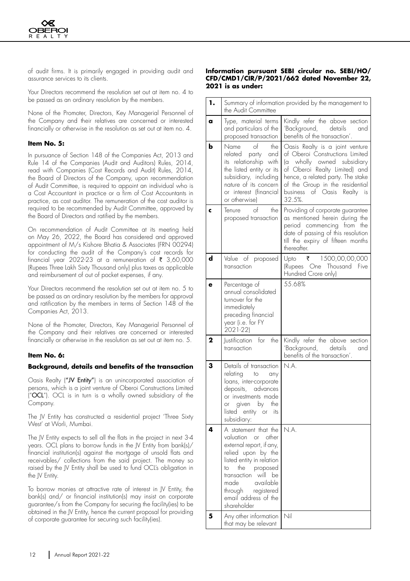of audit firms. It is primarily engaged in providing audit and assurance services to its clients.

Your Directors recommend the resolution set out at item no. 4 to be passed as an ordinary resolution by the members.

None of the Promoter, Directors, Key Managerial Personnel of the Company and their relatives are concerned or interested financially or otherwise in the resolution as set out at item no. 4.

## **Item No. 5:**

In pursuance of Section 148 of the Companies Act, 2013 and Rule 14 of the Companies (Audit and Auditors) Rules, 2014, read with Companies (Cost Records and Audit) Rules, 2014, the Board of Directors of the Company, upon recommendation of Audit Committee, is required to appoint an individual who is a Cost Accountant in practice or a firm of Cost Accountants in practice, as cost auditor. The remuneration of the cost auditor is required to be recommended by Audit Committee, approved by the Board of Directors and ratified by the members.

On recommendation of Audit Committee at its meeting held on May 26, 2022, the Board has considered and approved appointment of M/s Kishore Bhatia & Associates (FRN 00294) for conducting the audit of the Company's cost records for financial year 2022-23 at a remuneration of  $\bar{\tau}$  3,60,000 (Rupees Three Lakh Sixty Thousand only) plus taxes as applicable and reimbursement of out of pocket expenses, if any.

Your Directors recommend the resolution set out at item no. 5 to be passed as an ordinary resolution by the members for approval and ratification by the members in terms of Section 148 of the Companies Act, 2013.

None of the Promoter, Directors, Key Managerial Personnel of the Company and their relatives are concerned or interested financially or otherwise in the resolution as set out at item no. 5.

## **Item No. 6:**

## **Background, details and benefits of the transaction**

Oasis Realty ("JV Entity") is an unincorporated association of persons, which is a joint venture of Oberoi Constructions Limited ("OCL"). OCL is in turn is a wholly owned subsidiary of the Company.

The JV Entity has constructed a residential project 'Three Sixty West' at Worli, Mumbai.

The JV Entity expects to sell all the flats in the project in next 3-4 years. OCL plans to borrow funds in the JV Entity from bank(s)/ financial institution(s) against the mortgage of unsold flats and receivables/ collections from the said project. The money so raised by the JV Entity shall be used to fund OCL's obligation in the JV Entity.

To borrow monies at attractive rate of interest in JV Entity, the bank(s) and/ or financial institution(s) may insist on corporate guarantee/s from the Company for securing the facility(ies) to be obtained in the JV Entity, hence the current proposal for providing of corporate guarantee for securing such facility(ies).

## **Information pursuant SEBI circular no. SEBI/HO/ CFD/CMD1/CIR/P/2021/662 dated November 22, 2021 is as under:**

| 1.          | the Audit Committee                                                                                                                                                                                                                                | Summary of information provided by the management to                                                                                                                                                                                                     |
|-------------|----------------------------------------------------------------------------------------------------------------------------------------------------------------------------------------------------------------------------------------------------|----------------------------------------------------------------------------------------------------------------------------------------------------------------------------------------------------------------------------------------------------------|
| a           | Type, material terms<br>and particulars of the<br>proposed transaction                                                                                                                                                                             | Kindly refer the above section<br>'Background, details<br>and<br>benefits of the transaction'.                                                                                                                                                           |
| ь           | $\circ$ f<br>Name<br>the<br>related party and<br>its relationship with<br>the listed entity or its<br>subsidiary, including<br>nature of its concern<br>or interest (financial<br>or otherwise)                                                    | Oasis Realty is a joint venture<br>of Oberoi Constructions Limited<br>(a wholly owned subsidiary<br>of Oberoi Realty Limited) and<br>hence, a related party. The stake<br>of the Group in the residential<br>business of Oasis<br>Realty<br>is<br>32.5%. |
| C           | Tenure of<br>the<br>proposed transaction                                                                                                                                                                                                           | Providing of corporate guarantee<br>as mentioned herein during the<br>period commencing from<br>the<br>date of passing of this resolution<br>till the expiry of fifteen months<br>thereafter.                                                            |
| d           | Value of proposed<br>transaction                                                                                                                                                                                                                   | Upto ₹ 1500,00,00,000<br>(Rupees One Thousand Five<br>Hundred Crore only)                                                                                                                                                                                |
| е           | Percentage of<br>annual consolidated<br>turnover for the<br>immediately<br>preceding financial<br>year (i.e. for FY<br>2021-22)                                                                                                                    | 55.68%                                                                                                                                                                                                                                                   |
| $\mathbf 2$ | Justification for the<br>transaction                                                                                                                                                                                                               | Kindly refer the above section<br>details<br>'Background,<br>and<br>benefits of the transaction'.                                                                                                                                                        |
| 3           | Details of transaction<br>relating<br>$\overline{\phantom{a}}$<br>any<br>loans, inter-corporate<br>deposits, advances<br>or investments made<br>or given by the<br>listed entity or its<br>subsidiary:                                             | NA                                                                                                                                                                                                                                                       |
| 4           | A statement that the<br>valuation or other<br>external report, if any,<br>relied upon by the<br>listed entity in relation<br>to the proposed<br>transaction will be<br>made available<br>through registered<br>email address of the<br>shareholder | N.A.                                                                                                                                                                                                                                                     |
| 5           | Any other information  <br>that may be relevant                                                                                                                                                                                                    | Nil                                                                                                                                                                                                                                                      |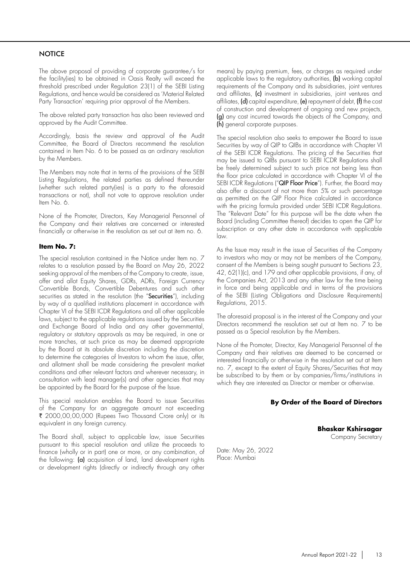The above proposal of providing of corporate guarantee/s for the facility(ies) to be obtained in Oasis Realty will exceed the threshold prescribed under Regulation 23(1) of the SEBI Listing Regulations, and hence would be considered as 'Material Related Party Transaction' requiring prior approval of the Members.

The above related party transaction has also been reviewed and approved by the Audit Committee.

Accordingly, basis the review and approval of the Audit Committee, the Board of Directors recommend the resolution contained in Item No. 6 to be passed as an ordinary resolution by the Members.

The Members may note that in terms of the provisions of the SEBI Listing Regulations, the related parties as defined thereunder (whether such related party(ies) is a party to the aforesaid transactions or not), shall not vote to approve resolution under Item No. 6.

None of the Promoter, Directors, Key Managerial Personnel of the Company and their relatives are concerned or interested financially or otherwise in the resolution as set out at item no. 6.

## **Item No. 7:**

The special resolution contained in the Notice under Item no. 7 relates to a resolution passed by the Board on May 26, 2022 seeking approval of the members of the Company to create, issue, offer and allot Equity Shares, GDRs, ADRs, Foreign Currency Convertible Bonds, Convertible Debentures and such other securities as stated in the resolution (the "Securities"), including by way of a qualified institutions placement in accordance with Chapter VI of the SEBI ICDR Regulations and all other applicable laws, subject to the applicable regulations issued by the Securities and Exchange Board of India and any other governmental, regulatory or statutory approvals as may be required, in one or more tranches, at such price as may be deemed appropriate by the Board at its absolute discretion including the discretion to determine the categories of Investors to whom the issue, offer, and allotment shall be made considering the prevalent market conditions and other relevant factors and wherever necessary, in consultation with lead manager(s) and other agencies that may be appointed by the Board for the purpose of the Issue.

This special resolution enables the Board to issue Securities of the Company for an aggregate amount not exceeding ₹ 2000,00,00,000 (Rupees Two Thousand Crore only) or its equivalent in any foreign currency.

The Board shall, subject to applicable law, issue Securities pursuant to this special resolution and utilize the proceeds to finance (wholly or in part) one or more, or any combination, of the following: (a) acquisition of land, land development rights or development rights (directly or indirectly through any other

means) by paying premium, fees, or charges as required under applicable laws to the regulatory authorities, (b) working capital requirements of the Company and its subsidiaries, joint ventures and affiliates, (c) investment in subsidiaries, joint ventures and affiliates, (d) capital expenditure, (e) repayment of debt, (f) the cost of construction and development of ongoing and new projects, (g) any cost incurred towards the objects of the Company, and (h) general corporate purposes.

The special resolution also seeks to empower the Board to issue Securities by way of QIP to QIBs in accordance with Chapter VI of the SEBI ICDR Regulations. The pricing of the Securities that may be issued to QIBs pursuant to SEBI ICDR Regulations shall be freely determined subject to such price not being less than the floor price calculated in accordance with Chapter VI of the SEBI ICDR Regulations ("QIP Floor Price"). Further, the Board may also offer a discount of not more than 5% or such percentage as permitted on the QIP Floor Price calculated in accordance with the pricing formula provided under SEBI ICDR Regulations. The "Relevant Date" for this purpose will be the date when the Board (including Committee thereof) decides to open the QIP for subscription or any other date in accordance with applicable law.

As the Issue may result in the issue of Securities of the Company to investors who may or may not be members of the Company, consent of the Members is being sought pursuant to Sections 23, 42, 62(1)(c), and 179 and other applicable provisions, if any, of the Companies Act, 2013 and any other law for the time being in force and being applicable and in terms of the provisions of the SEBI (Listing Obligations and Disclosure Requirements) Regulations, 2015.

The aforesaid proposal is in the interest of the Company and your Directors recommend the resolution set out at Item no. 7 to be passed as a Special resolution by the Members.

None of the Promoter, Director, Key Managerial Personnel of the Company and their relatives are deemed to be concerned or interested financially or otherwise in the resolution set out at Item no. 7, except to the extent of Equity Shares/Securities that may be subscribed to by them or by companies/firms/institutions in which they are interested as Director or member or otherwise.

# **By Order of the Board of Directors**

**Bhaskar Kshirsagar** Company Secretary

Date: May 26, 2022 Place: Mumbai